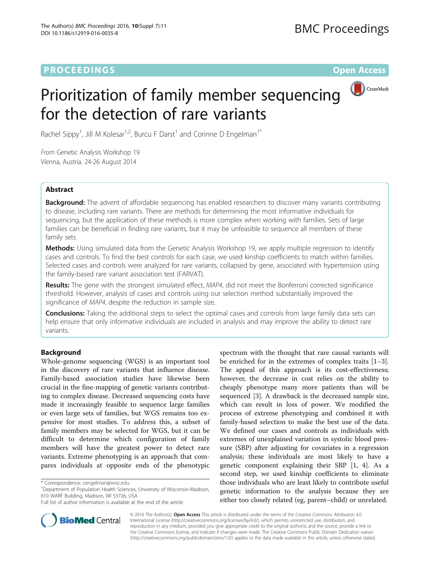## **PROCEEDINGS CONSUMING S** Open Access **CONSUMING S**



# Prioritization of family member sequencing for the detection of rare variants

Rachel Sippy<sup>1</sup>, Jill M Kolesar<sup>1,2</sup>, Burcu F Darst<sup>1</sup> and Corinne D Engelman<sup>1\*</sup>

From Genetic Analysis Workshop 19 Vienna, Austria. 24-26 August 2014

## Abstract

**Background:** The advent of affordable sequencing has enabled researchers to discover many variants contributing to disease, including rare variants. There are methods for determining the most informative individuals for sequencing, but the application of these methods is more complex when working with families. Sets of large families can be beneficial in finding rare variants, but it may be unfeasible to sequence all members of these family sets.

Methods: Using simulated data from the Genetic Analysis Workshop 19, we apply multiple regression to identify cases and controls. To find the best controls for each case, we used kinship coefficients to match within families. Selected cases and controls were analyzed for rare variants, collapsed by gene, associated with hypertension using the family-based rare variant association test (FARVAT).

Results: The gene with the strongest simulated effect, MAP4, did not meet the Bonferroni corrected significance threshold. However, analysis of cases and controls using our selection method substantially improved the significance of MAP4, despite the reduction in sample size.

**Conclusions:** Taking the additional steps to select the optimal cases and controls from large family data sets can help ensure that only informative individuals are included in analysis and may improve the ability to detect rare variants.

## Background

Whole-genome sequencing (WGS) is an important tool in the discovery of rare variants that influence disease. Family-based association studies have likewise been crucial in the fine-mapping of genetic variants contributing to complex disease. Decreased sequencing costs have made it increasingly feasible to sequence large families or even large sets of families, but WGS remains too expensive for most studies. To address this, a subset of family members may be selected for WGS, but it can be difficult to determine which configuration of family members will have the greatest power to detect rare variants. Extreme phenotyping is an approach that compares individuals at opposite ends of the phenotypic

<sup>1</sup>Department of Population Health Sciences, University of Wisconsin-Madison, 610 WARF Building, Madison, WI 53726, USA

spectrum with the thought that rare causal variants will be enriched for in the extremes of complex traits [\[1](#page-4-0)–[3](#page-4-0)]. The appeal of this approach is its cost-effectiveness; however, the decrease in cost relies on the ability to cheaply phenotype many more patients than will be sequenced [[3\]](#page-4-0). A drawback is the decreased sample size, which can result in loss of power. We modified the process of extreme phenotyping and combined it with family-based selection to make the best use of the data. We defined our cases and controls as individuals with extremes of unexplained variation in systolic blood pressure (SBP) after adjusting for covariates in a regression analysis; these individuals are most likely to have a genetic component explaining their SBP [\[1, 4\]](#page-4-0). As a second step, we used kinship coefficients to eliminate those individuals who are least likely to contribute useful genetic information to the analysis because they are either too closely related (eg, parent–child) or unrelated.



© 2016 The Author(s). Open Access This article is distributed under the terms of the Creative Commons Attribution 4.0 International License [\(http://creativecommons.org/licenses/by/4.0/](http://creativecommons.org/licenses/by/4.0/)), which permits unrestricted use, distribution, and reproduction in any medium, provided you give appropriate credit to the original author(s) and the source, provide a link to the Creative Commons license, and indicate if changes were made. The Creative Commons Public Domain Dedication waiver [\(http://creativecommons.org/publicdomain/zero/1.0/](http://creativecommons.org/publicdomain/zero/1.0/)) applies to the data made available in this article, unless otherwise stated.

<sup>\*</sup> Correspondence: [cengelman@wisc.edu](mailto:cengelman@wisc.edu) <sup>1</sup>

Full list of author information is available at the end of the article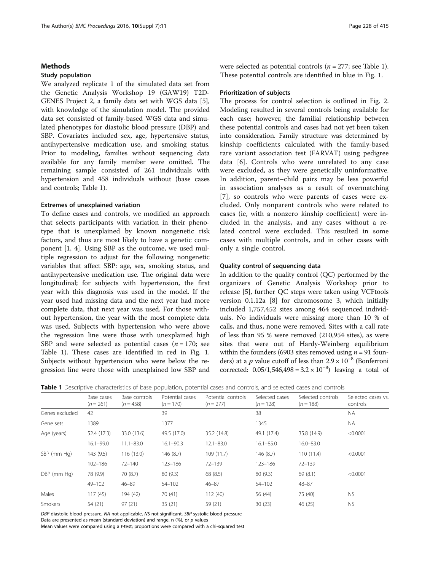### <span id="page-1-0"></span>Methods

#### Study population

We analyzed replicate 1 of the simulated data set from the Genetic Analysis Workshop 19 (GAW19) T2D-GENES Project 2, a family data set with WGS data [\[5](#page-4-0)], with knowledge of the simulation model. The provided data set consisted of family-based WGS data and simulated phenotypes for diastolic blood pressure (DBP) and SBP. Covariates included sex, age, hypertensive status, antihypertensive medication use, and smoking status. Prior to modeling, families without sequencing data available for any family member were omitted. The remaining sample consisted of 261 individuals with hypertension and 458 individuals without (base cases and controls; Table 1).

#### Extremes of unexplained variation

To define cases and controls, we modified an approach that selects participants with variation in their phenotype that is unexplained by known nongenetic risk factors, and thus are most likely to have a genetic component [\[1](#page-4-0), [4\]](#page-4-0). Using SBP as the outcome, we used multiple regression to adjust for the following nongenetic variables that affect SBP: age, sex, smoking status, and antihypertensive medication use. The original data were longitudinal; for subjects with hypertension, the first year with this diagnosis was used in the model. If the year used had missing data and the next year had more complete data, that next year was used. For those without hypertension, the year with the most complete data was used. Subjects with hypertension who were above the regression line were those with unexplained high SBP and were selected as potential cases ( $n = 170$ ; see Table 1). These cases are identified in red in Fig. [1](#page-2-0). Subjects without hypertension who were below the regression line were those with unexplained low SBP and were selected as potential controls ( $n = 277$ ; see Table 1). These potential controls are identified in blue in Fig. [1](#page-2-0).

#### Prioritization of subjects

The process for control selection is outlined in Fig. [2](#page-2-0). Modeling resulted in several controls being available for each case; however, the familial relationship between these potential controls and cases had not yet been taken into consideration. Family structure was determined by kinship coefficients calculated with the family-based rare variant association test (FARVAT) using pedigree data [[6\]](#page-4-0). Controls who were unrelated to any case were excluded, as they were genetically uninformative. In addition, parent–child pairs may be less powerful in association analyses as a result of overmatching [[7\]](#page-4-0), so controls who were parents of cases were excluded. Only nonparent controls who were related to cases (ie, with a nonzero kinship coefficient) were included in the analysis, and any cases without a related control were excluded. This resulted in some cases with multiple controls, and in other cases with only a single control.

### Quality control of sequencing data

In addition to the quality control (QC) performed by the organizers of Genetic Analysis Workshop prior to release [\[5](#page-4-0)], further QC steps were taken using VCFtools version 0.1.12a [[8](#page-4-0)] for chromosome 3, which initially included 1,757,452 sites among 464 sequenced individuals. No individuals were missing more than 10 % of calls, and thus, none were removed. Sites with a call rate of less than 95 % were removed (210,954 sites), as were sites that were out of Hardy-Weinberg equilibrium within the founders (6903 sites removed using  $n = 91$  founders) at a *p* value cutoff of less than  $2.9 \times 10^{-8}$  (Bonferroni corrected:  $0.05/1,546,498 = 3.2 \times 10^{-8}$ ) leaving a total of

|                | Base cases<br>$(n = 261)$ | Base controls<br>$(n=458)$ | Potential cases<br>$(n = 170)$ | Potential controls<br>$(n = 277)$ | Selected cases<br>$(n = 128)$ | Selected controls<br>$(n = 188)$ | Selected cases vs<br>controls |
|----------------|---------------------------|----------------------------|--------------------------------|-----------------------------------|-------------------------------|----------------------------------|-------------------------------|
| Genes excluded | 42                        |                            | 39                             |                                   | 38                            |                                  | <b>NA</b>                     |
| Gene sets      | 1389                      |                            | 1377                           |                                   | 1345                          |                                  | NA.                           |
| Age (years)    | 52.4 (17.3)               | 33.0 (13.6)                | 49.5 (17.0)                    | 35.2 (14.8)                       | 49.1 (17.4)                   | 35.8 (14.9)                      | < 0.0001                      |
|                | $16.1 - 99.0$             | $11.1 - 83.0$              | $16.1 - 90.3$                  | $12.1 - 83.0$                     | $16.1 - 85.0$                 | $16.0 - 83.0$                    |                               |
| SBP (mm Hg)    | 143 (9.5)                 | 116 (13.0)                 | 146(8.7)                       | 109(11.7)                         | 146(8.7)                      | 110(11.4)                        | < 0.0001                      |
|                | $102 - 186$               | $72 - 140$                 | $123 - 186$                    | $72 - 139$                        | 123-186                       | $72 - 139$                       |                               |
| DBP (mm Hg)    | 78 (9.9)                  | 70 (8.7)                   | 80(9.3)                        | 68 (8.5)                          | 80(9.3)                       | 69(8.1)                          | < 0.0001                      |
|                | $49 - 102$                | $46 - 89$                  | $54 - 102$                     | $46 - 87$                         | $54 - 102$                    | $48 - 87$                        |                               |
| Males          | 117(45)                   | 194 (42)                   | 70(41)                         | 112(40)                           | 56 (44)                       | 75 (40)                          | <b>NS</b>                     |
| Smokers        | 54 (21)                   | 97(21)                     | 35(21)                         | 59 (21)                           | 30(23)                        | 46 (25)                          | <b>NS</b>                     |

Table 1 Descriptive characteristics of base population, potential cases and controls, and selected cases and controls

DBP diastolic blood pressure, NA not applicable, NS not significant, SBP systolic blood pressure

Data are presented as mean (standard deviation) and range, n (%), or p values

Mean values were compared using a t-test; proportions were compared with a chi-squared test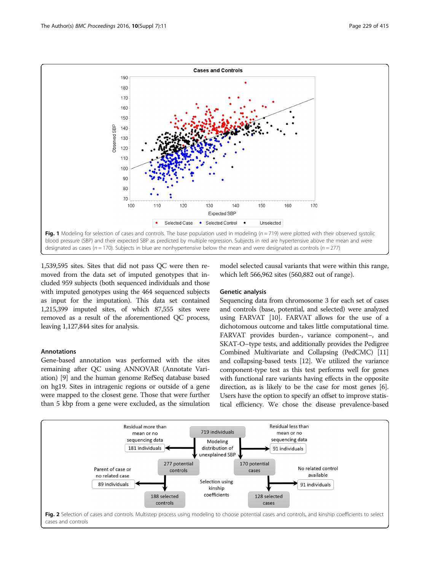<span id="page-2-0"></span>

1,539,595 sites. Sites that did not pass QC were then removed from the data set of imputed genotypes that included 959 subjects (both sequenced individuals and those with imputed genotypes using the 464 sequenced subjects as input for the imputation). This data set contained 1,215,399 imputed sites, of which 87,555 sites were removed as a result of the aforementioned QC process, leaving 1,127,844 sites for analysis.

## Annotations

Gene-based annotation was performed with the sites remaining after QC using ANNOVAR (Annotate Variation) [[9](#page-4-0)] and the human genome RefSeq database based on hg19. Sites in intragenic regions or outside of a gene were mapped to the closest gene. Those that were further than 5 kbp from a gene were excluded, as the simulation

model selected causal variants that were within this range, which left 566,962 sites (560,882 out of range).

#### Genetic analysis

Sequencing data from chromosome 3 for each set of cases and controls (base, potential, and selected) were analyzed using FARVAT [\[10](#page-4-0)]. FARVAT allows for the use of a dichotomous outcome and takes little computational time. FARVAT provides burden-, variance component–, and SKAT-O–type tests, and additionally provides the Pedigree Combined Multivariate and Collapsing (PedCMC) [\[11](#page-4-0)] and collapsing-based tests [\[12\]](#page-4-0). We utilized the variance component-type test as this test performs well for genes with functional rare variants having effects in the opposite direction, as is likely to be the case for most genes [[6](#page-4-0)]. Users have the option to specify an offset to improve statistical efficiency. We chose the disease prevalence-based

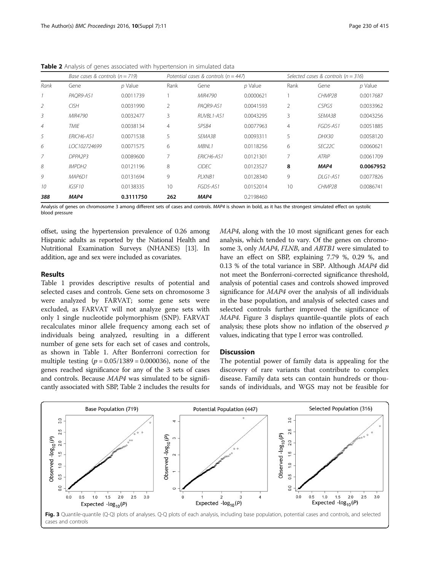|                | Base cases & controls $(n = 719)$ |           |      | Potential cases & controls ( $n = 447$ ) |           |                | Selected cases & controls $(n = 316)$ |           |  |
|----------------|-----------------------------------|-----------|------|------------------------------------------|-----------|----------------|---------------------------------------|-----------|--|
| Rank           | Gene                              | $p$ Value | Rank | Gene                                     | p Value   | Rank           | Gene                                  | $p$ Value |  |
|                | PAOR9-AS1                         | 0.0011739 |      | <i>MIR4790</i>                           | 0.0000621 |                | CHMP2B                                | 0.0017687 |  |
| 2              | <b>CISH</b>                       | 0.0031990 | 2    | PAOR9-AS1                                | 0.0041593 | 2              | CSPG5                                 | 0.0033962 |  |
| 3              | MIR4790                           | 0.0032477 | 3    | RUVBI 1-AS1                              | 0.0043295 | 3              | SEMA3B                                | 0.0043256 |  |
| $\overline{4}$ | <b>TMIE</b>                       | 0.0038134 | 4    | SPSB4                                    | 0.0077963 | $\overline{4}$ | FGD5-AS1                              | 0.0051885 |  |
| 5              | <b>FRICH6-AS1</b>                 | 0.0071538 | 5    | SFMA3B                                   | 0.0093311 | 5              | DHX30                                 | 0.0058120 |  |
| 6              | IOC102724699                      | 0.0071575 | 6    | MBNI 1                                   | 0.0118256 | 6              | SEC22C                                | 0.0060621 |  |
| 7              | DPPA2P3                           | 0.0089600 | 7    | <b>FRICH6-AS1</b>                        | 0.0121301 | 7              | <b>ATRIP</b>                          | 0.0061709 |  |
| 8              | IMPDH <sub>2</sub>                | 0.0121196 | 8    | <b>CIDEC</b>                             | 0.0123527 | 8              | MAP4                                  | 0.0067952 |  |
| 9              | MAP6D1                            | 0.0131694 | 9    | PLXNB1                                   | 0.0128340 | 9              | $DIG1-AS1$                            | 0.0077826 |  |
| 10             | IGSF10                            | 0.0138335 | 10   | FGD5-AS1                                 | 0.0152014 | 10             | CHMP2B                                | 0.0086741 |  |
| 388            | MAP4                              | 0.3111750 | 262  | MAP4                                     | 0.2198460 |                |                                       |           |  |

Table 2 Analysis of genes associated with hypertension in simulated data

Analysis of genes on chromosome 3 among different sets of cases and controls. MAP4 is shown in bold, as it has the strongest simulated effect on systolic blood pressure

offset, using the hypertension prevalence of 0.26 among Hispanic adults as reported by the National Health and Nutritional Examination Surveys (NHANES) [[13](#page-4-0)]. In addition, age and sex were included as covariates.

## Results

Table [1](#page-1-0) provides descriptive results of potential and selected cases and controls. Gene sets on chromosome 3 were analyzed by FARVAT; some gene sets were excluded, as FARVAT will not analyze gene sets with only 1 single nucleotide polymorphism (SNP). FARVAT recalculates minor allele frequency among each set of individuals being analyzed, resulting in a different number of gene sets for each set of cases and controls, as shown in Table [1.](#page-1-0) After Bonferroni correction for multiple testing  $(p = 0.05/1389 = 0.000036)$ , none of the genes reached significance for any of the 3 sets of cases and controls. Because MAP4 was simulated to be significantly associated with SBP, Table 2 includes the results for

MAP4, along with the 10 most significant genes for each analysis, which tended to vary. Of the genes on chromosome 3, only MAP4, FLNB, and ABTB1 were simulated to have an effect on SBP, explaining 7.79 %, 0.29 %, and 0.13 % of the total variance in SBP. Although MAP4 did not meet the Bonferroni-corrected significance threshold, analysis of potential cases and controls showed improved significance for MAP4 over the analysis of all individuals in the base population, and analysis of selected cases and selected controls further improved the significance of MAP4. Figure 3 displays quantile-quantile plots of each analysis; these plots show no inflation of the observed  $p$ values, indicating that type I error was controlled.

## **Discussion**

The potential power of family data is appealing for the discovery of rare variants that contribute to complex disease. Family data sets can contain hundreds or thousands of individuals, and WGS may not be feasible for